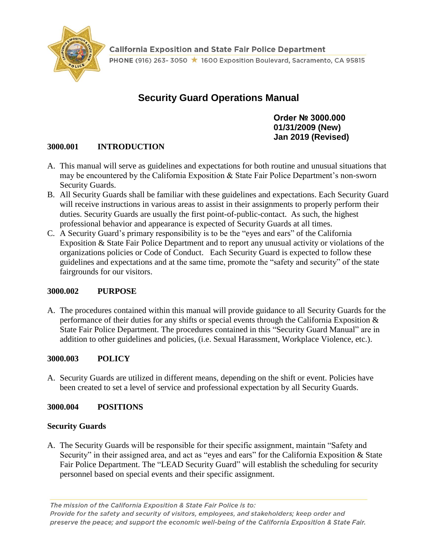

**California Exposition and State Fair Police Department** PHONE (916) 263-3050 ★ 1600 Exposition Boulevard, Sacramento, CA 95815

# **Security Guard Operations Manual**

**Order № 3000.000 01/31/2009 (New) Jan 2019 (Revised)**

# **3000.001 INTRODUCTION**

- A. This manual will serve as guidelines and expectations for both routine and unusual situations that may be encountered by the California Exposition & State Fair Police Department's non-sworn Security Guards.
- B. All Security Guards shall be familiar with these guidelines and expectations. Each Security Guard will receive instructions in various areas to assist in their assignments to properly perform their duties. Security Guards are usually the first point-of-public-contact. As such, the highest professional behavior and appearance is expected of Security Guards at all times.
- C. A Security Guard's primary responsibility is to be the "eyes and ears" of the California Exposition & State Fair Police Department and to report any unusual activity or violations of the organizations policies or Code of Conduct. Each Security Guard is expected to follow these guidelines and expectations and at the same time, promote the "safety and security" of the state fairgrounds for our visitors.

#### **3000.002 PURPOSE**

A. The procedures contained within this manual will provide guidance to all Security Guards for the performance of their duties for any shifts or special events through the California Exposition & State Fair Police Department. The procedures contained in this "Security Guard Manual" are in addition to other guidelines and policies, (i.e. Sexual Harassment, Workplace Violence, etc.).

#### **3000.003 POLICY**

A. Security Guards are utilized in different means, depending on the shift or event. Policies have been created to set a level of service and professional expectation by all Security Guards.

#### **3000.004 POSITIONS**

# **Security Guards**

A. The Security Guards will be responsible for their specific assignment, maintain "Safety and Security" in their assigned area, and act as "eyes and ears" for the California Exposition & State Fair Police Department. The "LEAD Security Guard" will establish the scheduling for security personnel based on special events and their specific assignment.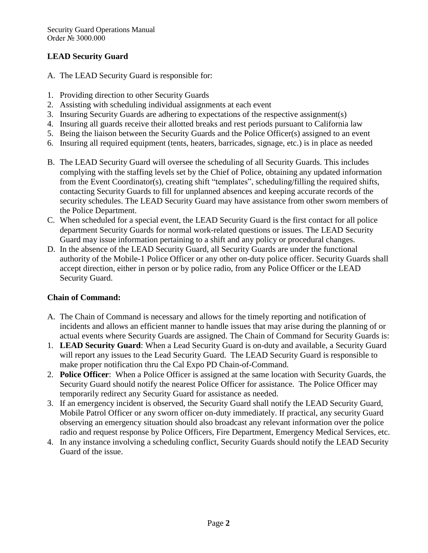# **LEAD Security Guard**

- A. The LEAD Security Guard is responsible for:
- 1. Providing direction to other Security Guards
- 2. Assisting with scheduling individual assignments at each event
- 3. Insuring Security Guards are adhering to expectations of the respective assignment(s)
- 4. Insuring all guards receive their allotted breaks and rest periods pursuant to California law
- 5. Being the liaison between the Security Guards and the Police Officer(s) assigned to an event
- 6. Insuring all required equipment (tents, heaters, barricades, signage, etc.) is in place as needed
- B. The LEAD Security Guard will oversee the scheduling of all Security Guards. This includes complying with the staffing levels set by the Chief of Police, obtaining any updated information from the Event Coordinator(s), creating shift "templates", scheduling/filling the required shifts, contacting Security Guards to fill for unplanned absences and keeping accurate records of the security schedules. The LEAD Security Guard may have assistance from other sworn members of the Police Department.
- C. When scheduled for a special event, the LEAD Security Guard is the first contact for all police department Security Guards for normal work-related questions or issues. The LEAD Security Guard may issue information pertaining to a shift and any policy or procedural changes.
- D. In the absence of the LEAD Security Guard, all Security Guards are under the functional authority of the Mobile-1 Police Officer or any other on-duty police officer. Security Guards shall accept direction, either in person or by police radio, from any Police Officer or the LEAD Security Guard.

# **Chain of Command:**

- A. The Chain of Command is necessary and allows for the timely reporting and notification of incidents and allows an efficient manner to handle issues that may arise during the planning of or actual events where Security Guards are assigned. The Chain of Command for Security Guards is:
- 1. **LEAD Security Guard**: When a Lead Security Guard is on-duty and available, a Security Guard will report any issues to the Lead Security Guard. The LEAD Security Guard is responsible to make proper notification thru the Cal Expo PD Chain-of-Command.
- 2. **Police Officer**: When a Police Officer is assigned at the same location with Security Guards, the Security Guard should notify the nearest Police Officer for assistance. The Police Officer may temporarily redirect any Security Guard for assistance as needed.
- 3. If an emergency incident is observed, the Security Guard shall notify the LEAD Security Guard, Mobile Patrol Officer or any sworn officer on-duty immediately. If practical, any security Guard observing an emergency situation should also broadcast any relevant information over the police radio and request response by Police Officers, Fire Department, Emergency Medical Services, etc.
- 4. In any instance involving a scheduling conflict, Security Guards should notify the LEAD Security Guard of the issue.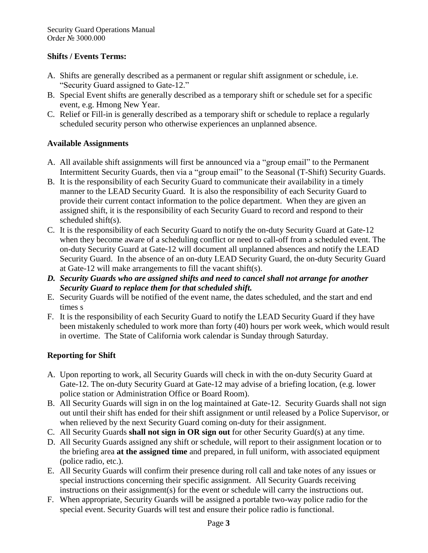### **Shifts / Events Terms:**

- A. Shifts are generally described as a permanent or regular shift assignment or schedule, i.e. "Security Guard assigned to Gate-12."
- B. Special Event shifts are generally described as a temporary shift or schedule set for a specific event, e.g. Hmong New Year.
- C. Relief or Fill-in is generally described as a temporary shift or schedule to replace a regularly scheduled security person who otherwise experiences an unplanned absence.

# **Available Assignments**

- A. All available shift assignments will first be announced via a "group email" to the Permanent Intermittent Security Guards, then via a "group email" to the Seasonal (T-Shift) Security Guards.
- B. It is the responsibility of each Security Guard to communicate their availability in a timely manner to the LEAD Security Guard. It is also the responsibility of each Security Guard to provide their current contact information to the police department. When they are given an assigned shift, it is the responsibility of each Security Guard to record and respond to their scheduled shift(s).
- C. It is the responsibility of each Security Guard to notify the on-duty Security Guard at Gate-12 when they become aware of a scheduling conflict or need to call-off from a scheduled event. The on-duty Security Guard at Gate-12 will document all unplanned absences and notify the LEAD Security Guard. In the absence of an on-duty LEAD Security Guard, the on-duty Security Guard at Gate-12 will make arrangements to fill the vacant shift(s).
- *D. Security Guards who are assigned shifts and need to cancel shall not arrange for another Security Guard to replace them for that scheduled shift.*
- E. Security Guards will be notified of the event name, the dates scheduled, and the start and end times s
- F. It is the responsibility of each Security Guard to notify the LEAD Security Guard if they have been mistakenly scheduled to work more than forty (40) hours per work week, which would result in overtime. The State of California work calendar is Sunday through Saturday.

# **Reporting for Shift**

- A. Upon reporting to work, all Security Guards will check in with the on-duty Security Guard at Gate-12. The on-duty Security Guard at Gate-12 may advise of a briefing location, (e.g. lower police station or Administration Office or Board Room).
- B. All Security Guards will sign in on the log maintained at Gate-12. Security Guards shall not sign out until their shift has ended for their shift assignment or until released by a Police Supervisor, or when relieved by the next Security Guard coming on-duty for their assignment.
- C. All Security Guards **shall not sign in OR sign out** for other Security Guard(s) at any time.
- D. All Security Guards assigned any shift or schedule, will report to their assignment location or to the briefing area **at the assigned time** and prepared, in full uniform, with associated equipment (police radio, etc.).
- E. All Security Guards will confirm their presence during roll call and take notes of any issues or special instructions concerning their specific assignment. All Security Guards receiving instructions on their assignment(s) for the event or schedule will carry the instructions out.
- F. When appropriate, Security Guards will be assigned a portable two-way police radio for the special event. Security Guards will test and ensure their police radio is functional.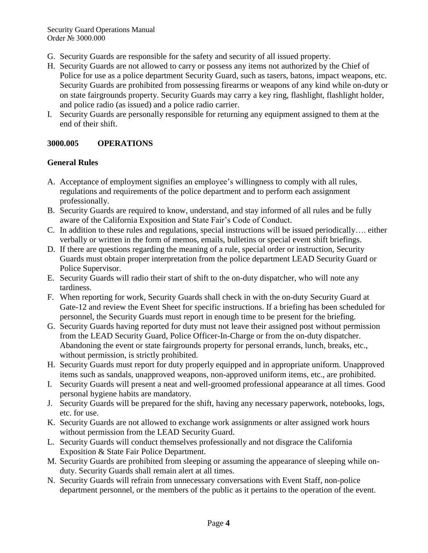- G. Security Guards are responsible for the safety and security of all issued property.
- H. Security Guards are not allowed to carry or possess any items not authorized by the Chief of Police for use as a police department Security Guard, such as tasers, batons, impact weapons, etc. Security Guards are prohibited from possessing firearms or weapons of any kind while on-duty or on state fairgrounds property. Security Guards may carry a key ring, flashlight, flashlight holder, and police radio (as issued) and a police radio carrier.
- I. Security Guards are personally responsible for returning any equipment assigned to them at the end of their shift.

# **3000.005 OPERATIONS**

# **General Rules**

- A. Acceptance of employment signifies an employee's willingness to comply with all rules, regulations and requirements of the police department and to perform each assignment professionally.
- B. Security Guards are required to know, understand, and stay informed of all rules and be fully aware of the California Exposition and State Fair's Code of Conduct.
- C. In addition to these rules and regulations, special instructions will be issued periodically…. either verbally or written in the form of memos, emails, bulletins or special event shift briefings.
- D. If there are questions regarding the meaning of a rule, special order or instruction, Security Guards must obtain proper interpretation from the police department LEAD Security Guard or Police Supervisor.
- E. Security Guards will radio their start of shift to the on-duty dispatcher, who will note any tardiness.
- F. When reporting for work, Security Guards shall check in with the on-duty Security Guard at Gate-12 and review the Event Sheet for specific instructions. If a briefing has been scheduled for personnel, the Security Guards must report in enough time to be present for the briefing.
- G. Security Guards having reported for duty must not leave their assigned post without permission from the LEAD Security Guard, Police Officer-In-Charge or from the on-duty dispatcher. Abandoning the event or state fairgrounds property for personal errands, lunch, breaks, etc., without permission, is strictly prohibited.
- H. Security Guards must report for duty properly equipped and in appropriate uniform. Unapproved items such as sandals, unapproved weapons, non-approved uniform items, etc., are prohibited.
- I. Security Guards will present a neat and well-groomed professional appearance at all times. Good personal hygiene habits are mandatory.
- J. Security Guards will be prepared for the shift, having any necessary paperwork, notebooks, logs, etc. for use.
- K. Security Guards are not allowed to exchange work assignments or alter assigned work hours without permission from the LEAD Security Guard.
- L. Security Guards will conduct themselves professionally and not disgrace the California Exposition & State Fair Police Department.
- M. Security Guards are prohibited from sleeping or assuming the appearance of sleeping while onduty. Security Guards shall remain alert at all times.
- N. Security Guards will refrain from unnecessary conversations with Event Staff, non-police department personnel, or the members of the public as it pertains to the operation of the event.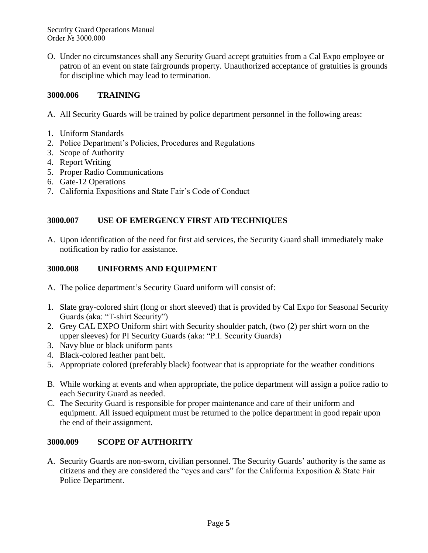O. Under no circumstances shall any Security Guard accept gratuities from a Cal Expo employee or patron of an event on state fairgrounds property. Unauthorized acceptance of gratuities is grounds for discipline which may lead to termination.

### **3000.006 TRAINING**

A. All Security Guards will be trained by police department personnel in the following areas:

- 1. Uniform Standards
- 2. Police Department's Policies, Procedures and Regulations
- 3. Scope of Authority
- 4. Report Writing
- 5. Proper Radio Communications
- 6. Gate-12 Operations
- 7. California Expositions and State Fair's Code of Conduct

# **3000.007 USE OF EMERGENCY FIRST AID TECHNIQUES**

A. Upon identification of the need for first aid services, the Security Guard shall immediately make notification by radio for assistance.

### **3000.008 UNIFORMS AND EQUIPMENT**

- A. The police department's Security Guard uniform will consist of:
- 1. Slate gray-colored shirt (long or short sleeved) that is provided by Cal Expo for Seasonal Security Guards (aka: "T-shirt Security")
- 2. Grey CAL EXPO Uniform shirt with Security shoulder patch, (two (2) per shirt worn on the upper sleeves) for PI Security Guards (aka: "P.I. Security Guards)
- 3. Navy blue or black uniform pants
- 4. Black-colored leather pant belt.
- 5. Appropriate colored (preferably black) footwear that is appropriate for the weather conditions
- B. While working at events and when appropriate, the police department will assign a police radio to each Security Guard as needed.
- C. The Security Guard is responsible for proper maintenance and care of their uniform and equipment. All issued equipment must be returned to the police department in good repair upon the end of their assignment.

# **3000.009 SCOPE OF AUTHORITY**

A. Security Guards are non-sworn, civilian personnel. The Security Guards' authority is the same as citizens and they are considered the "eyes and ears" for the California Exposition & State Fair Police Department.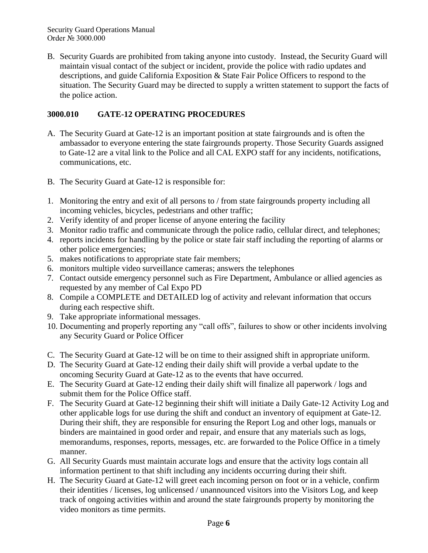B. Security Guards are prohibited from taking anyone into custody. Instead, the Security Guard will maintain visual contact of the subject or incident, provide the police with radio updates and descriptions, and guide California Exposition & State Fair Police Officers to respond to the situation. The Security Guard may be directed to supply a written statement to support the facts of the police action.

### **3000.010 GATE-12 OPERATING PROCEDURES**

- A. The Security Guard at Gate-12 is an important position at state fairgrounds and is often the ambassador to everyone entering the state fairgrounds property. Those Security Guards assigned to Gate-12 are a vital link to the Police and all CAL EXPO staff for any incidents, notifications, communications, etc.
- B. The Security Guard at Gate-12 is responsible for:
- 1. Monitoring the entry and exit of all persons to / from state fairgrounds property including all incoming vehicles, bicycles, pedestrians and other traffic;
- 2. Verify identity of and proper license of anyone entering the facility
- 3. Monitor radio traffic and communicate through the police radio, cellular direct, and telephones;
- 4. reports incidents for handling by the police or state fair staff including the reporting of alarms or other police emergencies;
- 5. makes notifications to appropriate state fair members;
- 6. monitors multiple video surveillance cameras; answers the telephones
- 7. Contact outside emergency personnel such as Fire Department, Ambulance or allied agencies as requested by any member of Cal Expo PD
- 8. Compile a COMPLETE and DETAILED log of activity and relevant information that occurs during each respective shift.
- 9. Take appropriate informational messages.
- 10. Documenting and properly reporting any "call offs", failures to show or other incidents involving any Security Guard or Police Officer
- C. The Security Guard at Gate-12 will be on time to their assigned shift in appropriate uniform.
- D. The Security Guard at Gate-12 ending their daily shift will provide a verbal update to the oncoming Security Guard at Gate-12 as to the events that have occurred.
- E. The Security Guard at Gate-12 ending their daily shift will finalize all paperwork / logs and submit them for the Police Office staff.
- F. The Security Guard at Gate-12 beginning their shift will initiate a Daily Gate-12 Activity Log and other applicable logs for use during the shift and conduct an inventory of equipment at Gate-12. During their shift, they are responsible for ensuring the Report Log and other logs, manuals or binders are maintained in good order and repair, and ensure that any materials such as logs, memorandums, responses, reports, messages, etc. are forwarded to the Police Office in a timely manner.
- G. All Security Guards must maintain accurate logs and ensure that the activity logs contain all information pertinent to that shift including any incidents occurring during their shift.
- H. The Security Guard at Gate-12 will greet each incoming person on foot or in a vehicle, confirm their identities / licenses, log unlicensed / unannounced visitors into the Visitors Log, and keep track of ongoing activities within and around the state fairgrounds property by monitoring the video monitors as time permits.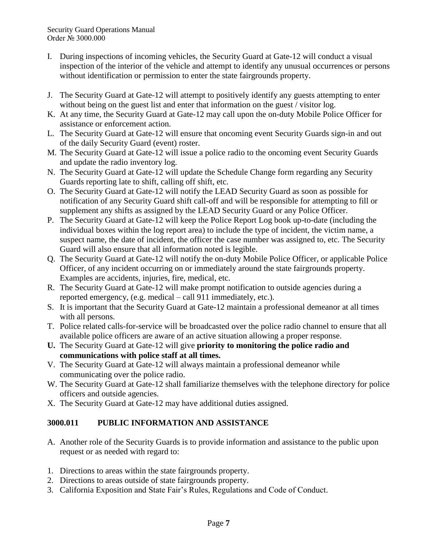- I. During inspections of incoming vehicles, the Security Guard at Gate-12 will conduct a visual inspection of the interior of the vehicle and attempt to identify any unusual occurrences or persons without identification or permission to enter the state fairgrounds property.
- J. The Security Guard at Gate-12 will attempt to positively identify any guests attempting to enter without being on the guest list and enter that information on the guest / visitor log.
- K. At any time, the Security Guard at Gate-12 may call upon the on-duty Mobile Police Officer for assistance or enforcement action.
- L. The Security Guard at Gate-12 will ensure that oncoming event Security Guards sign-in and out of the daily Security Guard (event) roster.
- M. The Security Guard at Gate-12 will issue a police radio to the oncoming event Security Guards and update the radio inventory log.
- N. The Security Guard at Gate-12 will update the Schedule Change form regarding any Security Guards reporting late to shift, calling off shift, etc.
- O. The Security Guard at Gate-12 will notify the LEAD Security Guard as soon as possible for notification of any Security Guard shift call-off and will be responsible for attempting to fill or supplement any shifts as assigned by the LEAD Security Guard or any Police Officer.
- P. The Security Guard at Gate-12 will keep the Police Report Log book up-to-date (including the individual boxes within the log report area) to include the type of incident, the victim name, a suspect name, the date of incident, the officer the case number was assigned to, etc. The Security Guard will also ensure that all information noted is legible.
- Q. The Security Guard at Gate-12 will notify the on-duty Mobile Police Officer, or applicable Police Officer, of any incident occurring on or immediately around the state fairgrounds property. Examples are accidents, injuries, fire, medical, etc.
- R. The Security Guard at Gate-12 will make prompt notification to outside agencies during a reported emergency, (e.g. medical – call 911 immediately, etc.).
- S. It is important that the Security Guard at Gate-12 maintain a professional demeanor at all times with all persons.
- T. Police related calls-for-service will be broadcasted over the police radio channel to ensure that all available police officers are aware of an active situation allowing a proper response.
- **U.** The Security Guard at Gate-12 will give **priority to monitoring the police radio and communications with police staff at all times.**
- V. The Security Guard at Gate-12 will always maintain a professional demeanor while communicating over the police radio.
- W. The Security Guard at Gate-12 shall familiarize themselves with the telephone directory for police officers and outside agencies.
- X. The Security Guard at Gate-12 may have additional duties assigned.

# **3000.011 PUBLIC INFORMATION AND ASSISTANCE**

- A. Another role of the Security Guards is to provide information and assistance to the public upon request or as needed with regard to:
- 1. Directions to areas within the state fairgrounds property.
- 2. Directions to areas outside of state fairgrounds property.
- 3. California Exposition and State Fair's Rules, Regulations and Code of Conduct.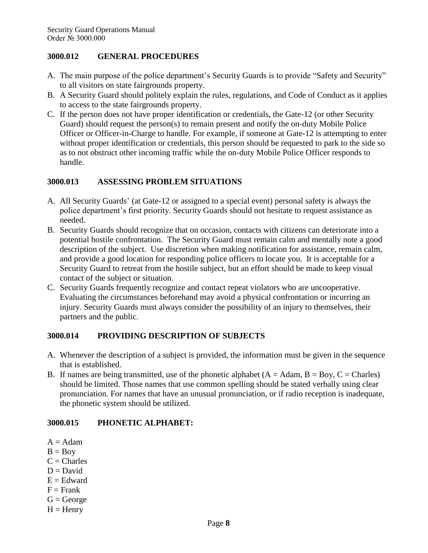#### **3000.012 GENERAL PROCEDURES**

- A. The main purpose of the police department's Security Guards is to provide "Safety and Security" to all visitors on state fairgrounds property.
- B. A Security Guard should politely explain the rules, regulations, and Code of Conduct as it applies to access to the state fairgrounds property.
- C. If the person does not have proper identification or credentials, the Gate-12 (or other Security Guard) should request the person(s) to remain present and notify the on-duty Mobile Police Officer or Officer-in-Charge to handle. For example, if someone at Gate-12 is attempting to enter without proper identification or credentials, this person should be requested to park to the side so as to not obstruct other incoming traffic while the on-duty Mobile Police Officer responds to handle.

#### **3000.013 ASSESSING PROBLEM SITUATIONS**

- A. All Security Guards' (at Gate-12 or assigned to a special event) personal safety is always the police department's first priority. Security Guards should not hesitate to request assistance as needed.
- B. Security Guards should recognize that on occasion, contacts with citizens can deteriorate into a potential hostile confrontation. The Security Guard must remain calm and mentally note a good description of the subject. Use discretion when making notification for assistance, remain calm, and provide a good location for responding police officers to locate you. It is acceptable for a Security Guard to retreat from the hostile subject, but an effort should be made to keep visual contact of the subject or situation.
- C. Security Guards frequently recognize and contact repeat violators who are uncooperative. Evaluating the circumstances beforehand may avoid a physical confrontation or incurring an injury. Security Guards must always consider the possibility of an injury to themselves, their partners and the public.

# **3000.014 PROVIDING DESCRIPTION OF SUBJECTS**

- A. Whenever the description of a subject is provided, the information must be given in the sequence that is established.
- B. If names are being transmitted, use of the phonetic alphabet  $(A = Adam, B = Boy, C = Charles)$ should be limited. Those names that use common spelling should be stated verbally using clear pronunciation. For names that have an unusual pronunciation, or if radio reception is inadequate, the phonetic system should be utilized.

# **3000.015 PHONETIC ALPHABET:**

- $A = Adam$
- $B = Boy$
- $C = Charles$
- $D = David$
- $E =$ Edward
- $F =$ Frank
- $G = George$
- $H =$  Henry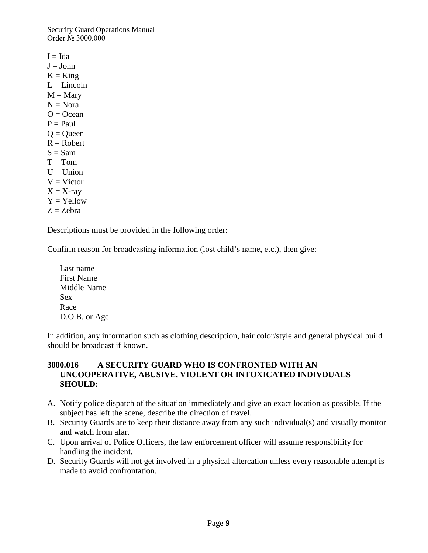$I = I da$  $J =$  John  $K = King$  $L =$ Lincoln  $M =$ Mary  $N = N$ ora  $Q = Ocean$  $P = Paul$  $Q =$ Queen  $R = Robert$  $S = Sam$  $T = Tom$  $U = Union$  $V = Victor$  $X = X$ -ray  $Y = Y$ ellow  $Z = Zehra$ 

Descriptions must be provided in the following order:

Confirm reason for broadcasting information (lost child's name, etc.), then give:

Last name First Name Middle Name Sex Race D.O.B. or Age

In addition, any information such as clothing description, hair color/style and general physical build should be broadcast if known.

#### **3000.016 A SECURITY GUARD WHO IS CONFRONTED WITH AN UNCOOPERATIVE, ABUSIVE, VIOLENT OR INTOXICATED INDIVDUALS SHOULD:**

- A. Notify police dispatch of the situation immediately and give an exact location as possible. If the subject has left the scene, describe the direction of travel.
- B. Security Guards are to keep their distance away from any such individual(s) and visually monitor and watch from afar.
- C. Upon arrival of Police Officers, the law enforcement officer will assume responsibility for handling the incident.
- D. Security Guards will not get involved in a physical altercation unless every reasonable attempt is made to avoid confrontation.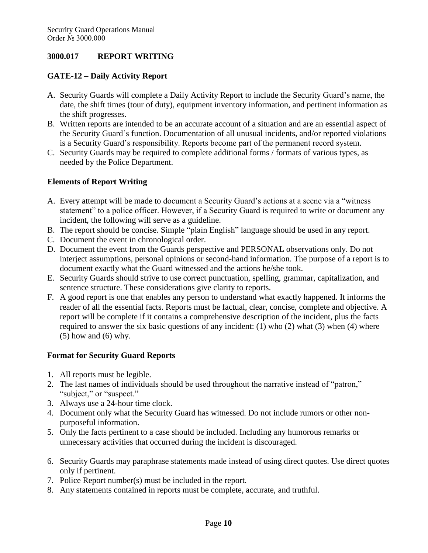### **3000.017 REPORT WRITING**

### **GATE-12 – Daily Activity Report**

- A. Security Guards will complete a Daily Activity Report to include the Security Guard's name, the date, the shift times (tour of duty), equipment inventory information, and pertinent information as the shift progresses.
- B. Written reports are intended to be an accurate account of a situation and are an essential aspect of the Security Guard's function. Documentation of all unusual incidents, and/or reported violations is a Security Guard's responsibility. Reports become part of the permanent record system.
- C. Security Guards may be required to complete additional forms / formats of various types, as needed by the Police Department.

### **Elements of Report Writing**

- A. Every attempt will be made to document a Security Guard's actions at a scene via a "witness statement" to a police officer. However, if a Security Guard is required to write or document any incident, the following will serve as a guideline.
- B. The report should be concise. Simple "plain English" language should be used in any report.
- C. Document the event in chronological order.
- D. Document the event from the Guards perspective and PERSONAL observations only. Do not interject assumptions, personal opinions or second-hand information. The purpose of a report is to document exactly what the Guard witnessed and the actions he/she took.
- E. Security Guards should strive to use correct punctuation, spelling, grammar, capitalization, and sentence structure. These considerations give clarity to reports.
- F. A good report is one that enables any person to understand what exactly happened. It informs the reader of all the essential facts. Reports must be factual, clear, concise, complete and objective. A report will be complete if it contains a comprehensive description of the incident, plus the facts required to answer the six basic questions of any incident: (1) who (2) what (3) when (4) where (5) how and (6) why.

# **Format for Security Guard Reports**

- 1. All reports must be legible.
- 2. The last names of individuals should be used throughout the narrative instead of "patron," "subject," or "suspect."
- 3. Always use a 24-hour time clock.
- 4. Document only what the Security Guard has witnessed. Do not include rumors or other nonpurposeful information.
- 5. Only the facts pertinent to a case should be included. Including any humorous remarks or unnecessary activities that occurred during the incident is discouraged.
- 6. Security Guards may paraphrase statements made instead of using direct quotes. Use direct quotes only if pertinent.
- 7. Police Report number(s) must be included in the report.
- 8. Any statements contained in reports must be complete, accurate, and truthful.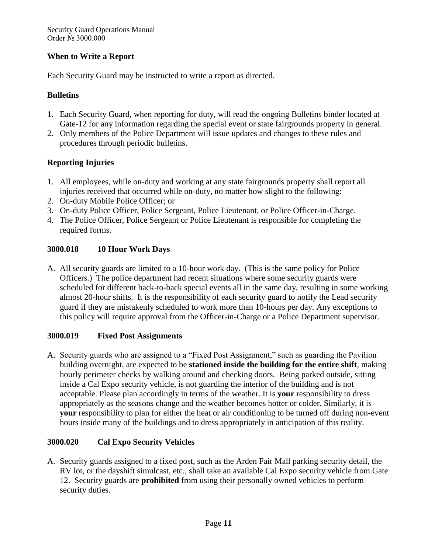### **When to Write a Report**

Each Security Guard may be instructed to write a report as directed.

### **Bulletins**

- 1. Each Security Guard, when reporting for duty, will read the ongoing Bulletins binder located at Gate-12 for any information regarding the special event or state fairgrounds property in general.
- 2. Only members of the Police Department will issue updates and changes to these rules and procedures through periodic bulletins.

# **Reporting Injuries**

- 1. All employees, while on-duty and working at any state fairgrounds property shall report all injuries received that occurred while on-duty, no matter how slight to the following:
- 2. On-duty Mobile Police Officer; or
- 3. On-duty Police Officer, Police Sergeant, Police Lieutenant, or Police Officer-in-Charge.
- 4. The Police Officer, Police Sergeant or Police Lieutenant is responsible for completing the required forms.

### **3000.018 10 Hour Work Days**

A. All security guards are limited to a 10-hour work day. (This is the same policy for Police Officers.) The police department had recent situations where some security guards were scheduled for different back-to-back special events all in the same day, resulting in some working almost 20-hour shifts. It is the responsibility of each security guard to notify the Lead security guard if they are mistakenly scheduled to work more than 10-hours per day. Any exceptions to this policy will require approval from the Officer-in-Charge or a Police Department supervisor.

#### **3000.019 Fixed Post Assignments**

A. Security guards who are assigned to a "Fixed Post Assignment," such as guarding the Pavilion building overnight, are expected to be **stationed inside the building for the entire shift**, making hourly perimeter checks by walking around and checking doors. Being parked outside, sitting inside a Cal Expo security vehicle, is not guarding the interior of the building and is not acceptable. Please plan accordingly in terms of the weather. It is **your** responsibility to dress appropriately as the seasons change and the weather becomes hotter or colder. Similarly, it is **your** responsibility to plan for either the heat or air conditioning to be turned off during non-event hours inside many of the buildings and to dress appropriately in anticipation of this reality.

# **3000.020 Cal Expo Security Vehicles**

A. Security guards assigned to a fixed post, such as the Arden Fair Mall parking security detail, the RV lot, or the dayshift simulcast, etc., shall take an available Cal Expo security vehicle from Gate 12. Security guards are **prohibited** from using their personally owned vehicles to perform security duties.